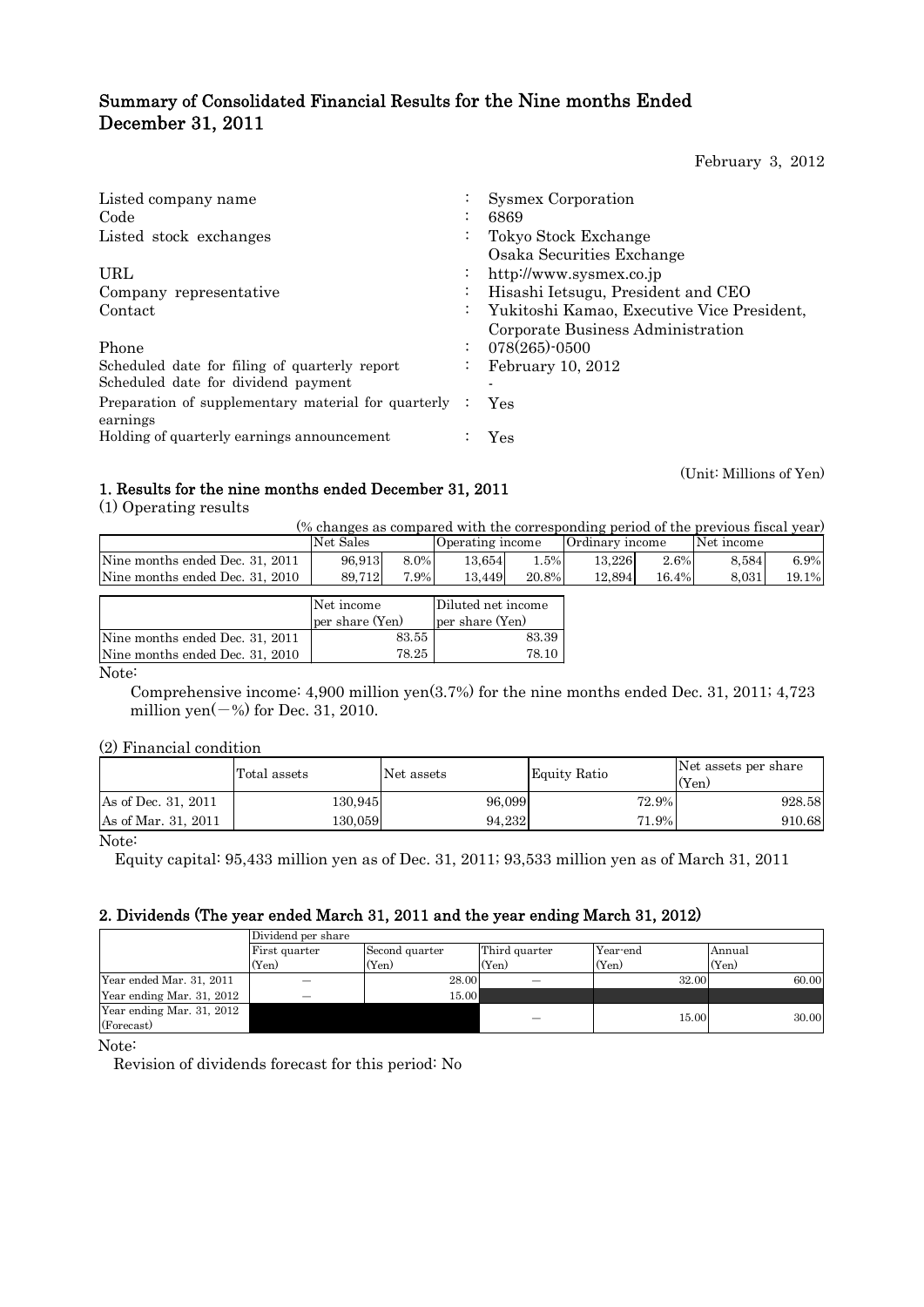# Summary of Consolidated Financial Results for the Nine months Ended December 31, 2011

February 3, 2012

| Listed company name                                             | $\ddot{\phantom{0}}$ | <b>Sysmex Corporation</b>                  |
|-----------------------------------------------------------------|----------------------|--------------------------------------------|
| Code                                                            | $\bullet$            | 6869                                       |
| Listed stock exchanges                                          | $\bullet$            | Tokyo Stock Exchange                       |
|                                                                 |                      | Osaka Securities Exchange                  |
| URL                                                             | $\bullet$            | http://www.sysmex.co.jp                    |
| Company representative                                          | $\bullet$            | Hisashi Ietsugu, President and CEO         |
| Contact                                                         | $\bullet$            | Yukitoshi Kamao, Executive Vice President, |
|                                                                 |                      | Corporate Business Administration          |
| Phone                                                           | $\bullet$            | $078(265)$ -0500                           |
| Scheduled date for filing of quarterly report                   | $\ddot{\phantom{0}}$ | February $10, 2012$                        |
| Scheduled date for dividend payment                             |                      |                                            |
| Preparation of supplementary material for quarterly<br>earnings |                      | Yes                                        |
| Holding of quarterly earnings announcement                      |                      | Yes                                        |

(Unit: Millions of Yen)

# 1. Results for the nine months ended December 31, 2011

(1) Operating results

(% changes as compared with the corresponding period of the previous fiscal year)

|                                 | Net Sales                          |       | Operating income   |       | Ordinary income |       | Net income |       |
|---------------------------------|------------------------------------|-------|--------------------|-------|-----------------|-------|------------|-------|
| Nine months ended Dec. 31, 2011 | 96.913                             | 8.0%  | 13.654             | 1.5%  | 13.226          | 2.6%  | 8.584      | 6.9%  |
| Nine months ended Dec. 31, 2010 | 89,712                             | 7.9%  | 13,449             | 20.8% | 12,894          | 16.4% | 8,031      | 19.1% |
|                                 |                                    |       |                    |       |                 |       |            |       |
|                                 | Net income                         |       | Diluted net income |       |                 |       |            |       |
|                                 | per share (Yen)<br>per share (Yen) |       |                    |       |                 |       |            |       |
| Nine months ended Dec. 31, 2011 | 83.55                              |       | 83.39              |       |                 |       |            |       |
| Nine months ended Dec. 31, 2010 |                                    | 78.25 |                    | 78.10 |                 |       |            |       |

Note:

 Comprehensive income: 4,900 million yen(3.7%) for the nine months ended Dec. 31, 2011; 4,723 million yen $(-\%)$  for Dec. 31, 2010.

## (2) Financial condition

|                     | Total assets | Net assets | <b>Equity Ratio</b> | Net assets per share<br>(Yen) |
|---------------------|--------------|------------|---------------------|-------------------------------|
| As of Dec. 31, 2011 | 130.945      | 96,099     | 72.9%               | 928.58                        |
| As of Mar. 31, 2011 | 130.059      | 94.232     | 71.9%               | 910.68                        |

Note:

Equity capital: 95,433 million yen as of Dec. 31, 2011; 93,533 million yen as of March 31, 2011

## 2. Dividends (The year ended March 31, 2011 and the year ending March 31, 2012)

|                                         | Dividend per share |                |               |          |        |  |  |  |
|-----------------------------------------|--------------------|----------------|---------------|----------|--------|--|--|--|
|                                         | First quarter      | Second quarter | Third quarter | Year-end | Annual |  |  |  |
|                                         | (Yen)              | (Yen)          | (Yen)         | (Yen)    | (Yen)  |  |  |  |
| Year ended Mar. 31, 2011                |                    | 28.00          |               | 32.00    | 60.00  |  |  |  |
| Year ending Mar. 31, 2012               | –                  | 15.00          |               |          |        |  |  |  |
| Year ending Mar. 31, 2012<br>(Forecast) |                    |                |               | 15.00    | 30.00  |  |  |  |

Note:

Revision of dividends forecast for this period: No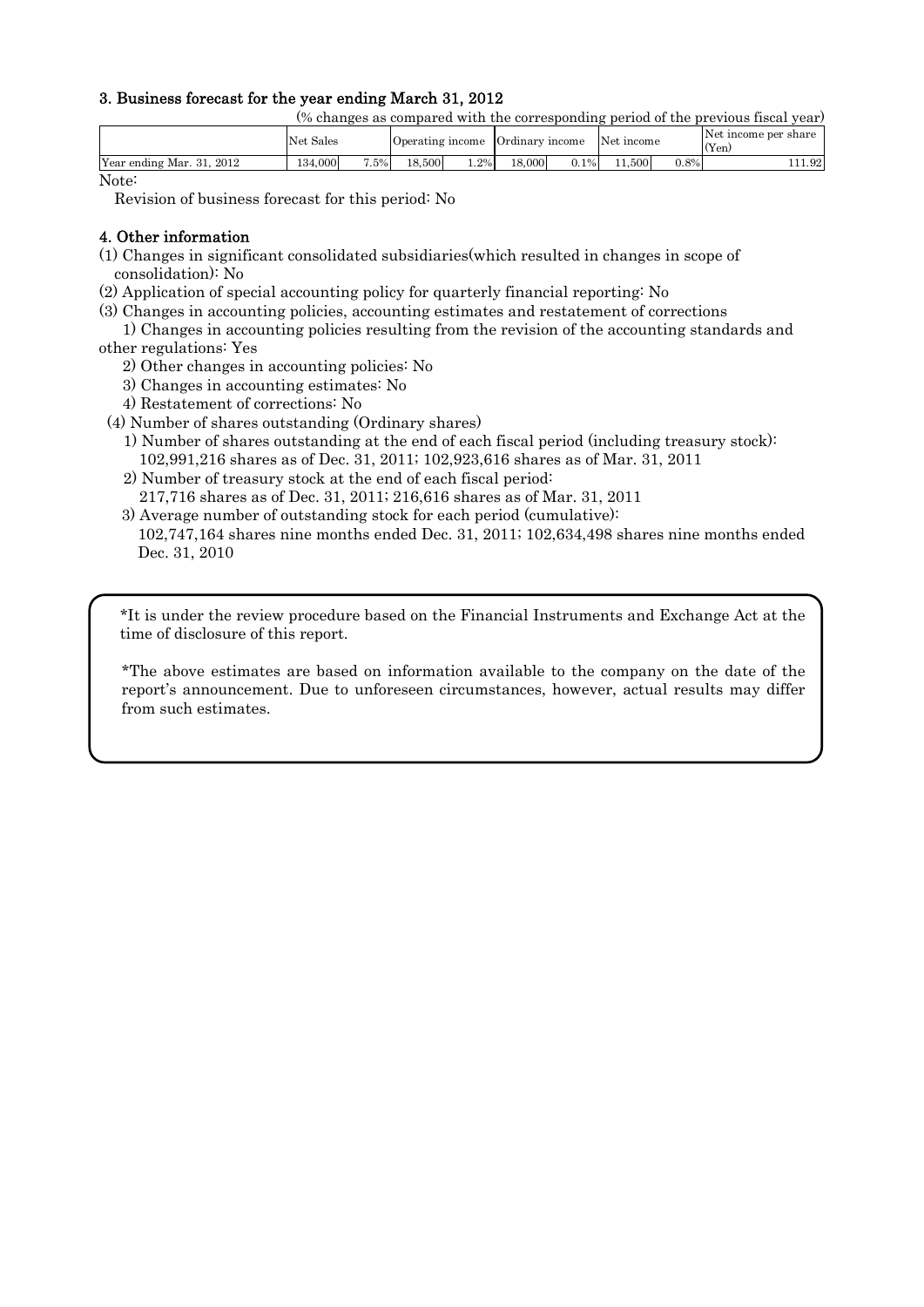## 3. Business forecast for the year ending March 31, 2012

(% changes as compared with the corresponding period of the previous fiscal year)

|                                           | Sales<br>Net |        | <b>O</b> perating income |         | $\sim$<br>Ordinary | income  | Net.<br>mcome |         | Net income per share<br>(Yen) |
|-------------------------------------------|--------------|--------|--------------------------|---------|--------------------|---------|---------------|---------|-------------------------------|
| Year ending<br>2012<br>21<br>Mar.<br>. ə1 | 000<br>134.  | $.5\%$ | $-6.500$<br>18           | $1.2\%$ | 18,000             | $0.1\%$ | 500           | $0.8\%$ | 1.92                          |

Note:

Revision of business forecast for this period: No

## 4. Other information

- (1) Changes in significant consolidated subsidiaries(which resulted in changes in scope of consolidation): No
- (2) Application of special accounting policy for quarterly financial reporting: No
- (3) Changes in accounting policies, accounting estimates and restatement of corrections
- 1) Changes in accounting policies resulting from the revision of the accounting standards and other regulations: Yes
	- 2) Other changes in accounting policies: No
	- 3) Changes in accounting estimates: No
	- 4) Restatement of corrections: No
- (4) Number of shares outstanding (Ordinary shares)
	- 1) Number of shares outstanding at the end of each fiscal period (including treasury stock): 102,991,216 shares as of Dec. 31, 2011; 102,923,616 shares as of Mar. 31, 2011
	- 2) Number of treasury stock at the end of each fiscal period:
	- 217,716 shares as of Dec. 31, 2011; 216,616 shares as of Mar. 31, 2011
	- 3) Average number of outstanding stock for each period (cumulative):
	- 102,747,164 shares nine months ended Dec. 31, 2011; 102,634,498 shares nine months ended Dec. 31, 2010

\*It is under the review procedure based on the Financial Instruments and Exchange Act at the time of disclosure of this report.

\*The above estimates are based on information available to the company on the date of the report's announcement. Due to unforeseen circumstances, however, actual results may differ from such estimates.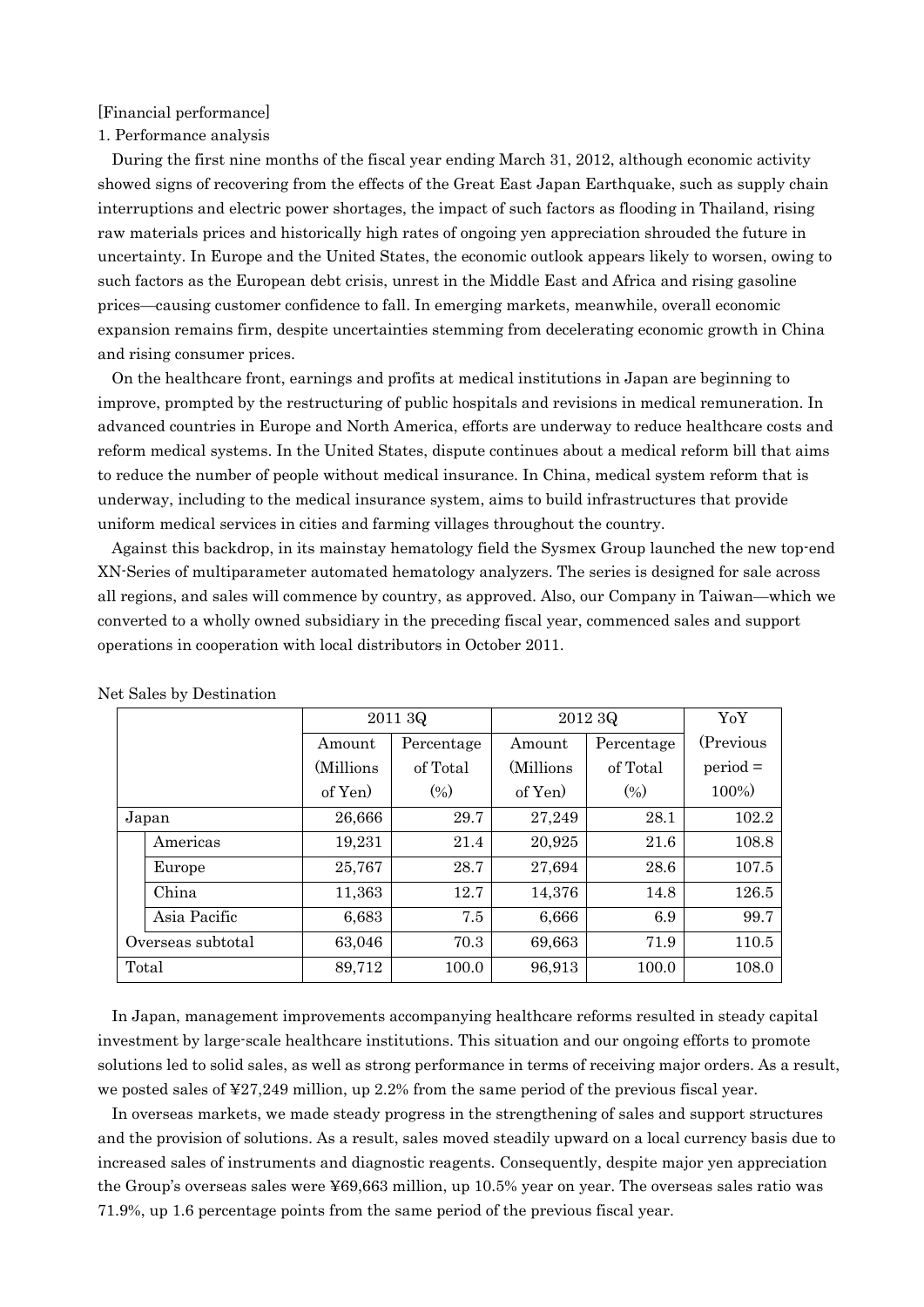## [Financial performance]

#### 1. Performance analysis

During the first nine months of the fiscal year ending March 31, 2012, although economic activity showed signs of recovering from the effects of the Great East Japan Earthquake, such as supply chain interruptions and electric power shortages, the impact of such factors as flooding in Thailand, rising raw materials prices and historically high rates of ongoing yen appreciation shrouded the future in uncertainty. In Europe and the United States, the economic outlook appears likely to worsen, owing to such factors as the European debt crisis, unrest in the Middle East and Africa and rising gasoline prices—causing customer confidence to fall. In emerging markets, meanwhile, overall economic expansion remains firm, despite uncertainties stemming from decelerating economic growth in China and rising consumer prices.

On the healthcare front, earnings and profits at medical institutions in Japan are beginning to improve, prompted by the restructuring of public hospitals and revisions in medical remuneration. In advanced countries in Europe and North America, efforts are underway to reduce healthcare costs and reform medical systems. In the United States, dispute continues about a medical reform bill that aims to reduce the number of people without medical insurance. In China, medical system reform that is underway, including to the medical insurance system, aims to build infrastructures that provide uniform medical services in cities and farming villages throughout the country.

Against this backdrop, in its mainstay hematology field the Sysmex Group launched the new top-end XN-Series of multiparameter automated hematology analyzers. The series is designed for sale across all regions, and sales will commence by country, as approved. Also, our Company in Taiwan—which we converted to a wholly owned subsidiary in the preceding fiscal year, commenced sales and support operations in cooperation with local distributors in October 2011.

|                   | 2011 3Q   |            | 2012 3Q   | YoY        |            |
|-------------------|-----------|------------|-----------|------------|------------|
|                   | Amount    | Percentage | Amount    | Percentage | (Previous) |
|                   | (Millions | of Total   | (Millions | of Total   | $period =$ |
|                   | of Yen)   | $(\% )$    | of Yen    | (0/0)      | 100%)      |
| Japan             | 26,666    | 29.7       | 27,249    | 28.1       | 102.2      |
| Americas          | 19,231    | 21.4       | 20,925    | 21.6       | 108.8      |
| Europe            | 25,767    | 28.7       | 27,694    | 28.6       | 107.5      |
| China             | 11,363    | 12.7       | 14,376    | 14.8       | 126.5      |
| Asia Pacific      | 6,683     | 7.5        | 6,666     | 6.9        | 99.7       |
| Overseas subtotal | 63,046    | 70.3       | 69,663    | 71.9       | 110.5      |
| Total             | 89,712    | 100.0      | 96,913    | 100.0      | 108.0      |

Net Sales by Destination

In Japan, management improvements accompanying healthcare reforms resulted in steady capital investment by large-scale healthcare institutions. This situation and our ongoing efforts to promote solutions led to solid sales, as well as strong performance in terms of receiving major orders. As a result, we posted sales of ¥27,249 million, up 2.2% from the same period of the previous fiscal year.

In overseas markets, we made steady progress in the strengthening of sales and support structures and the provision of solutions. As a result, sales moved steadily upward on a local currency basis due to increased sales of instruments and diagnostic reagents. Consequently, despite major yen appreciation the Group's overseas sales were ¥69,663 million, up 10.5% year on year. The overseas sales ratio was 71.9%, up 1.6 percentage points from the same period of the previous fiscal year.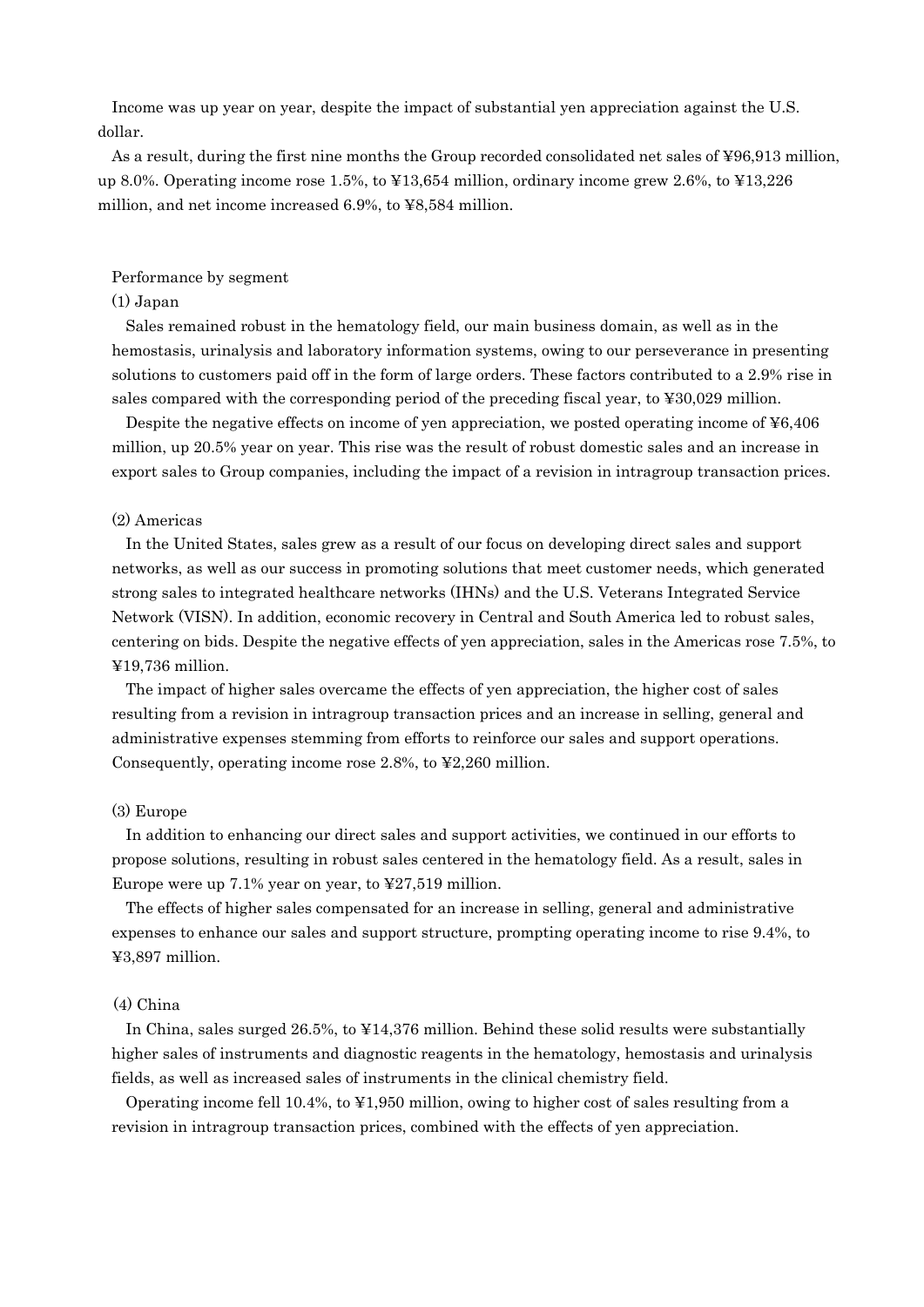Income was up year on year, despite the impact of substantial yen appreciation against the U.S. dollar.

As a result, during the first nine months the Group recorded consolidated net sales of ¥96,913 million, up 8.0%. Operating income rose 1.5%, to ¥13,654 million, ordinary income grew 2.6%, to ¥13,226 million, and net income increased 6.9%, to ¥8,584 million.

#### Performance by segment

#### (1) Japan

Sales remained robust in the hematology field, our main business domain, as well as in the hemostasis, urinalysis and laboratory information systems, owing to our perseverance in presenting solutions to customers paid off in the form of large orders. These factors contributed to a 2.9% rise in sales compared with the corresponding period of the preceding fiscal year, to ¥30,029 million.

Despite the negative effects on income of yen appreciation, we posted operating income of ¥6,406 million, up 20.5% year on year. This rise was the result of robust domestic sales and an increase in export sales to Group companies, including the impact of a revision in intragroup transaction prices.

## (2) Americas

In the United States, sales grew as a result of our focus on developing direct sales and support networks, as well as our success in promoting solutions that meet customer needs, which generated strong sales to integrated healthcare networks (IHNs) and the U.S. Veterans Integrated Service Network (VISN). In addition, economic recovery in Central and South America led to robust sales, centering on bids. Despite the negative effects of yen appreciation, sales in the Americas rose 7.5%, to ¥19,736 million.

The impact of higher sales overcame the effects of yen appreciation, the higher cost of sales resulting from a revision in intragroup transaction prices and an increase in selling, general and administrative expenses stemming from efforts to reinforce our sales and support operations. Consequently, operating income rose 2.8%, to ¥2,260 million.

#### (3) Europe

In addition to enhancing our direct sales and support activities, we continued in our efforts to propose solutions, resulting in robust sales centered in the hematology field. As a result, sales in Europe were up 7.1% year on year, to ¥27,519 million.

The effects of higher sales compensated for an increase in selling, general and administrative expenses to enhance our sales and support structure, prompting operating income to rise 9.4%, to ¥3,897 million.

#### (4) China

In China, sales surged 26.5%, to ¥14,376 million. Behind these solid results were substantially higher sales of instruments and diagnostic reagents in the hematology, hemostasis and urinalysis fields, as well as increased sales of instruments in the clinical chemistry field.

Operating income fell 10.4%, to ¥1,950 million, owing to higher cost of sales resulting from a revision in intragroup transaction prices, combined with the effects of yen appreciation.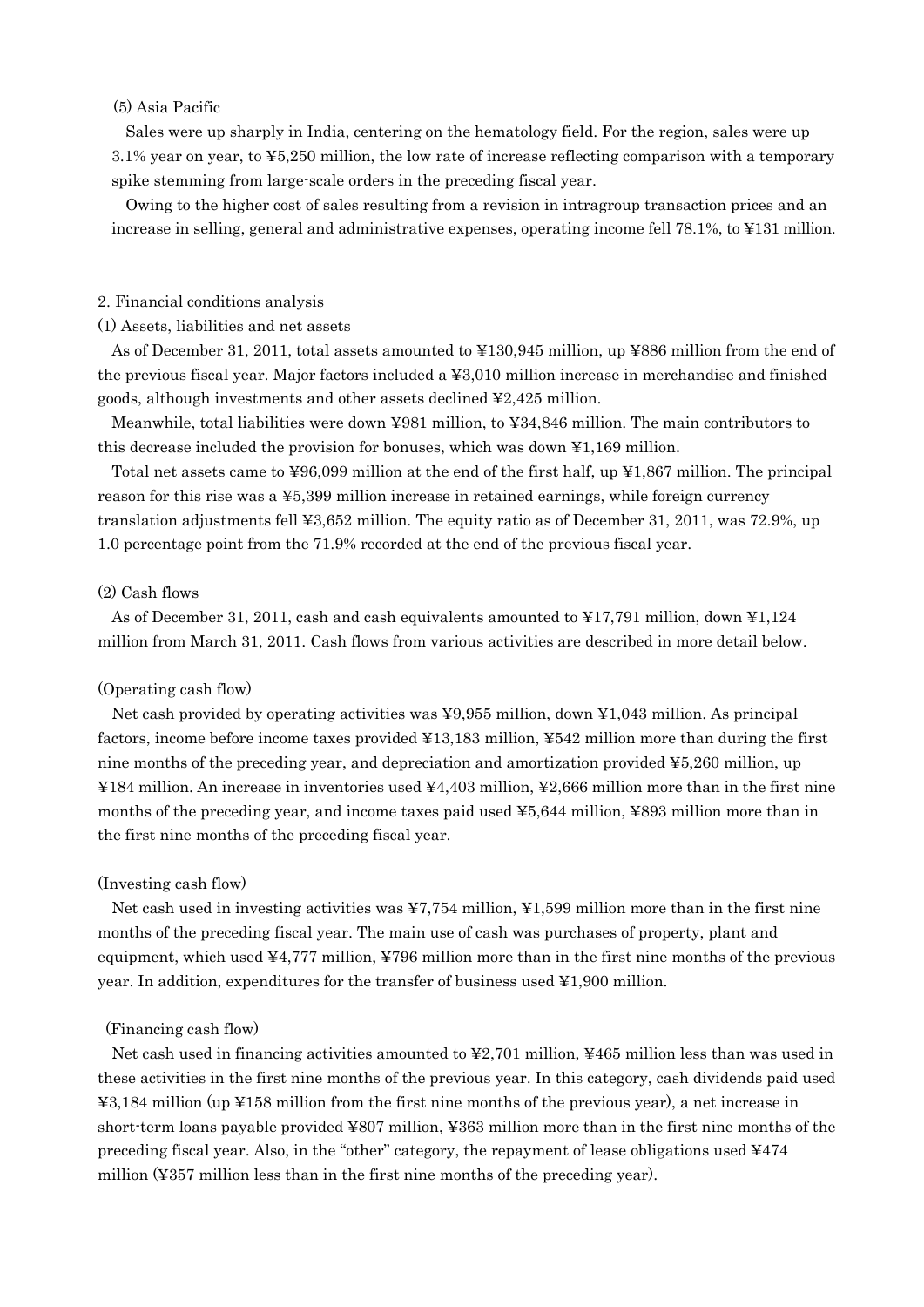#### (5) Asia Pacific

Sales were up sharply in India, centering on the hematology field. For the region, sales were up 3.1% year on year, to ¥5,250 million, the low rate of increase reflecting comparison with a temporary spike stemming from large-scale orders in the preceding fiscal year.

Owing to the higher cost of sales resulting from a revision in intragroup transaction prices and an increase in selling, general and administrative expenses, operating income fell 78.1%, to ¥131 million.

## 2. Financial conditions analysis

#### (1) Assets, liabilities and net assets

As of December 31, 2011, total assets amounted to ¥130,945 million, up ¥886 million from the end of the previous fiscal year. Major factors included a ¥3,010 million increase in merchandise and finished goods, although investments and other assets declined ¥2,425 million.

Meanwhile, total liabilities were down ¥981 million, to ¥34,846 million. The main contributors to this decrease included the provision for bonuses, which was down ¥1,169 million.

Total net assets came to ¥96,099 million at the end of the first half, up ¥1,867 million. The principal reason for this rise was a ¥5,399 million increase in retained earnings, while foreign currency translation adjustments fell ¥3,652 million. The equity ratio as of December 31, 2011, was 72.9%, up 1.0 percentage point from the 71.9% recorded at the end of the previous fiscal year.

#### (2) Cash flows

As of December 31, 2011, cash and cash equivalents amounted to ¥17,791 million, down ¥1,124 million from March 31, 2011. Cash flows from various activities are described in more detail below.

## (Operating cash flow)

Net cash provided by operating activities was ¥9,955 million, down ¥1,043 million. As principal factors, income before income taxes provided ¥13,183 million, ¥542 million more than during the first nine months of the preceding year, and depreciation and amortization provided ¥5,260 million, up ¥184 million. An increase in inventories used ¥4,403 million, ¥2,666 million more than in the first nine months of the preceding year, and income taxes paid used ¥5,644 million, ¥893 million more than in the first nine months of the preceding fiscal year.

#### (Investing cash flow)

Net cash used in investing activities was ¥7,754 million, ¥1,599 million more than in the first nine months of the preceding fiscal year. The main use of cash was purchases of property, plant and equipment, which used ¥4,777 million, ¥796 million more than in the first nine months of the previous year. In addition, expenditures for the transfer of business used ¥1,900 million.

#### (Financing cash flow)

Net cash used in financing activities amounted to ¥2,701 million, ¥465 million less than was used in these activities in the first nine months of the previous year. In this category, cash dividends paid used ¥3,184 million (up ¥158 million from the first nine months of the previous year), a net increase in short-term loans payable provided ¥807 million, ¥363 million more than in the first nine months of the preceding fiscal year. Also, in the "other" category, the repayment of lease obligations used ¥474 million (¥357 million less than in the first nine months of the preceding year).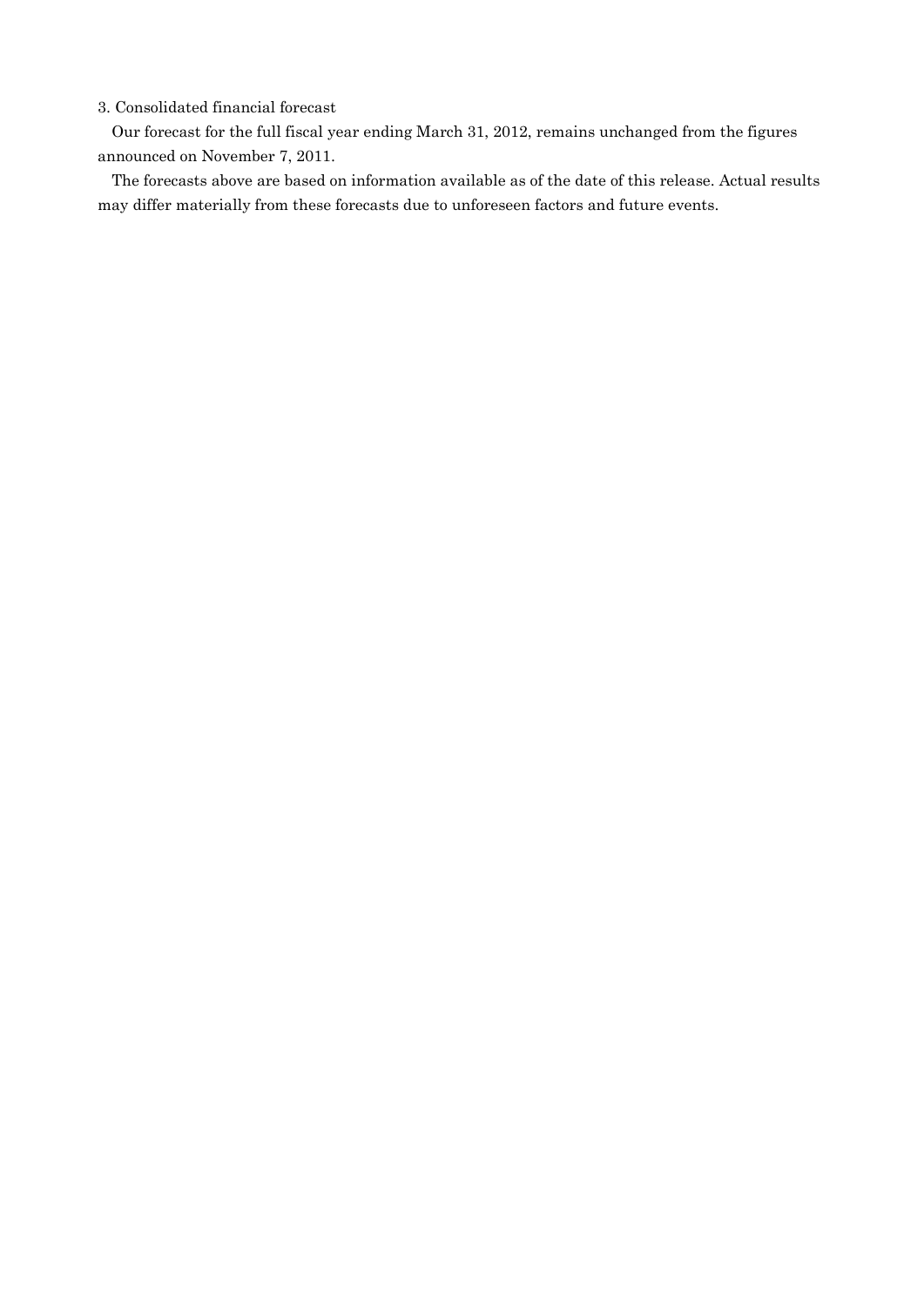## 3. Consolidated financial forecast

Our forecast for the full fiscal year ending March 31, 2012, remains unchanged from the figures announced on November 7, 2011.

The forecasts above are based on information available as of the date of this release. Actual results may differ materially from these forecasts due to unforeseen factors and future events.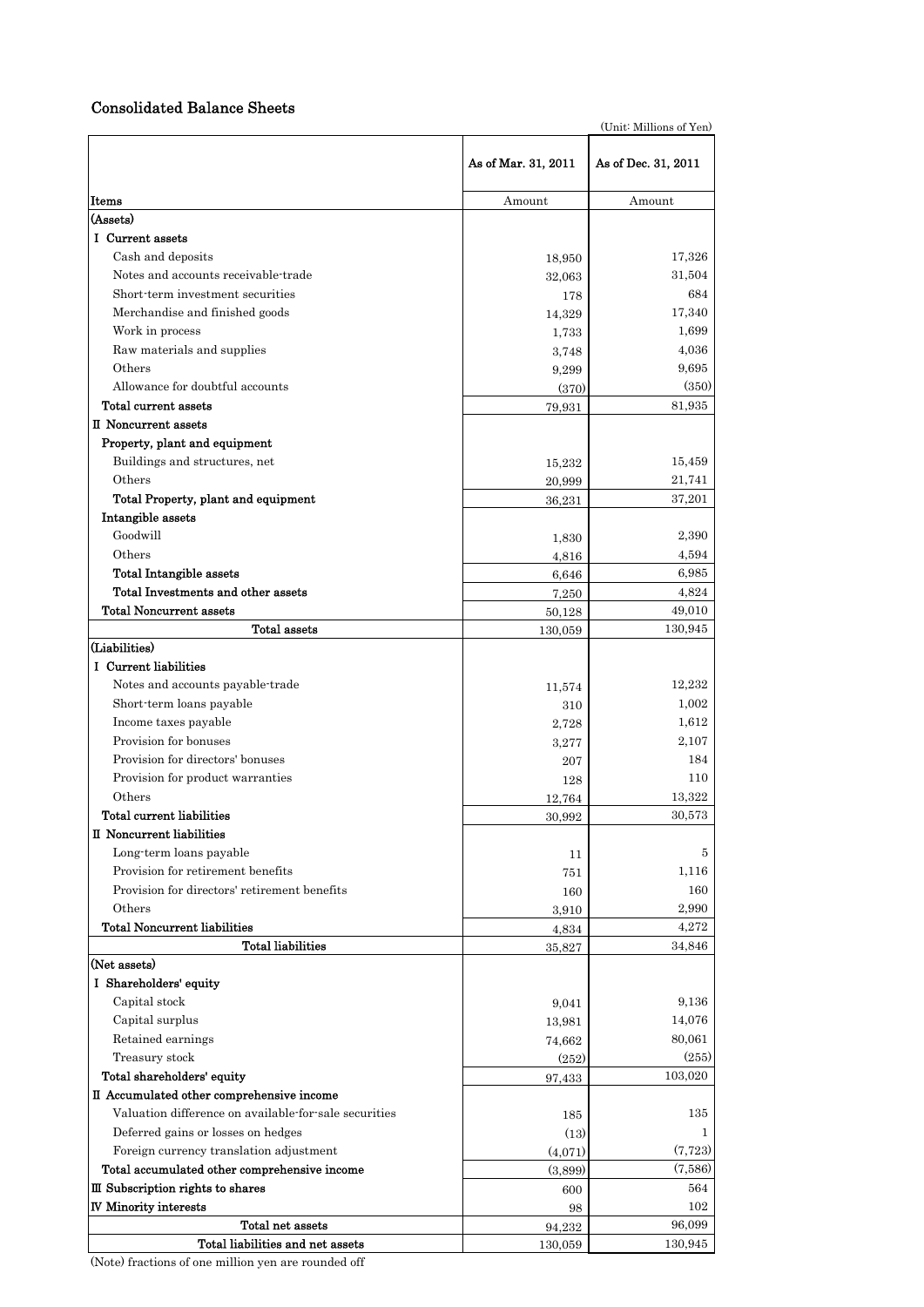## Consolidated Balance Sheets

(Unit: Millions of Yen) **Items** Amount Amount Amount Amount Amount Amount Amount Amount Amount Amount Amount Amount Amount Amount Amount Amount Amount Amount Amount Amount Amount Amount Amount Amount Amount Amount Amount Amount Amount Amount Amou (Assets) Ⅰ Current assets Cash and deposits 17,326 Notes and accounts receivable-trade 32,063 31,504 Short-term investment securities 178 684 Merchandise and finished goods 17,340 17,340 Work in process  $1,733$   $1,699$ Raw materials and supplies  $3,748$   $4,036$ Others 9,299 9,695 Allowance for doubtful accounts (370) (350) (350) Total current assets  $79,931$  81,935 Ⅱ Noncurrent assets Property, plant and equipment Buildings and structures, net 15,232 15,459 Others 20,999 21,741 Total Property, plant and equipment 36,231 37,201 Intangible assets Goodwill 2,390 2,390 2,390 2,390 2,390 2,390 2,390 2,390 2,390 2,490 2,590 2,590 2,590 2,590 2,590 2,590 2,590 Others 4,816 4,816 4,894 Total Intangible assets  $6,646$  6,985 Total Investments and other assets  $7.250$   $7.250$   $4.824$ Total Noncurrent assets 49,010 Total assets 130,059 130,945 (Liabilities) Ⅰ Current liabilities Notes and accounts payable-trade  $11,574$  12,232 Short-term loans payable  $310$   $310$ Income taxes payable  $2,728$   $1,612$ Provision for bonuses 3,277 2,107 Provision for directors' bonuses 207 184 Provision for product warranties 128 128 110 Others 13,322 13,322 Total current liabilities  $30,992$   $30,573$ Ⅱ Noncurrent liabilities Long-term loans payable  $11$  5 Provision for retirement benefits 751 1,116 Provision for directors' retirement benefits 160 160 Others  $3,910$   $2,990$ Total Noncurrent liabilities  $4.834$   $4.272$ Total liabilities  $35,827$   $34,846$ (Net assets) Ⅰ Shareholders' equity Capital stock 9,041 9,136 Capital surplus 14,076 Retained earnings  $74,662$   $80,061$ Treasury stock  $(252)$   $(255)$ Total shareholders' equity 103,020 103,020 Ⅱ Accumulated other comprehensive income Valuation difference on available-for-sale securities 185 135 Deferred gains or losses on hedges (13) 1 Foreign currency translation adjustment  $(4,071)$   $(7,723)$ Total accumulated other comprehensive income (3,899) (7,586)  $\Box$  Subscription rights to shares 600  $600$ N Minority interests 102 As of Mar. 31, 2011 As of Dec. 31, 2011

> **Total net assets** 96,099 Total liabilities and net assets 130,059 130,945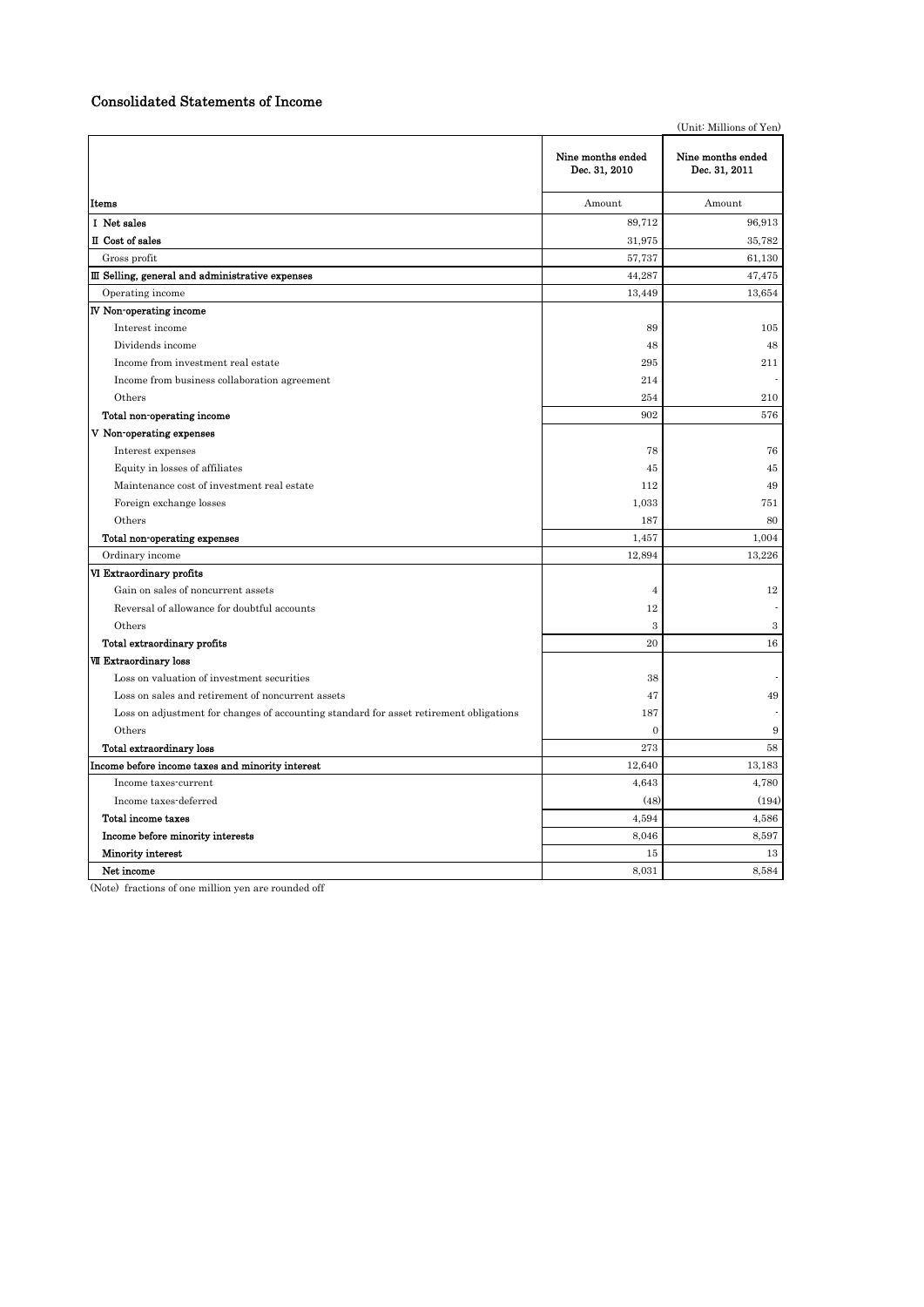## Consolidated Statements of Income

|                                                                                        |                                    | (Unit: Millions of Yen)            |
|----------------------------------------------------------------------------------------|------------------------------------|------------------------------------|
|                                                                                        | Nine months ended<br>Dec. 31, 2010 | Nine months ended<br>Dec. 31, 2011 |
| Items                                                                                  | Amount                             | Amount                             |
| I Net sales                                                                            | 89,712                             | 96,913                             |
| II Cost of sales                                                                       | 31,975                             | 35,782                             |
| Gross profit                                                                           | 57,737                             | 61,130                             |
| III Selling, general and administrative expenses                                       | 44,287                             | 47,475                             |
| Operating income                                                                       | 13,449                             | 13,654                             |
| IV Non-operating income                                                                |                                    |                                    |
| Interest income                                                                        | 89                                 | 105                                |
| Dividends income                                                                       | 48                                 | 48                                 |
| Income from investment real estate                                                     | 295                                | 211                                |
| Income from business collaboration agreement                                           | 214                                |                                    |
| Others                                                                                 | 254                                | 210                                |
| Total non-operating income                                                             | 902                                | 576                                |
| V Non-operating expenses                                                               |                                    |                                    |
| Interest expenses                                                                      | 78                                 | 76                                 |
| Equity in losses of affiliates                                                         | 45                                 | 45                                 |
| Maintenance cost of investment real estate                                             | 112                                | 49                                 |
| Foreign exchange losses                                                                | 1,033                              | 751                                |
| Others                                                                                 | 187                                | 80                                 |
| Total non-operating expenses                                                           | 1,457                              | 1,004                              |
| Ordinary income                                                                        | 12,894                             | 13,226                             |
| VI Extraordinary profits                                                               |                                    |                                    |
| Gain on sales of noncurrent assets                                                     | $\overline{4}$                     | 12                                 |
| Reversal of allowance for doubtful accounts                                            | 12                                 |                                    |
| Others                                                                                 | 3                                  | 3                                  |
| Total extraordinary profits                                                            | 20                                 | 16                                 |
| <b>VII Extraordinary loss</b>                                                          |                                    |                                    |
| Loss on valuation of investment securities                                             | 38                                 |                                    |
| Loss on sales and retirement of noncurrent assets                                      | 47                                 | 49                                 |
| Loss on adjustment for changes of accounting standard for asset retirement obligations | 187                                |                                    |
| Others                                                                                 | $\mathbf{0}$                       | 9                                  |
| Total extraordinary loss                                                               | 273                                | 58                                 |
| Income before income taxes and minority interest                                       | 12,640                             | 13,183                             |
| Income taxes-current                                                                   | 4,643                              | 4,780                              |
| Income taxes-deferred                                                                  | (48)                               | (194)                              |
| Total income taxes                                                                     | 4,594                              | 4,586                              |
| Income before minority interests                                                       | 8,046                              | 8,597                              |
| Minority interest                                                                      | 15                                 | 13                                 |
| Net income                                                                             | 8,031                              | 8,584                              |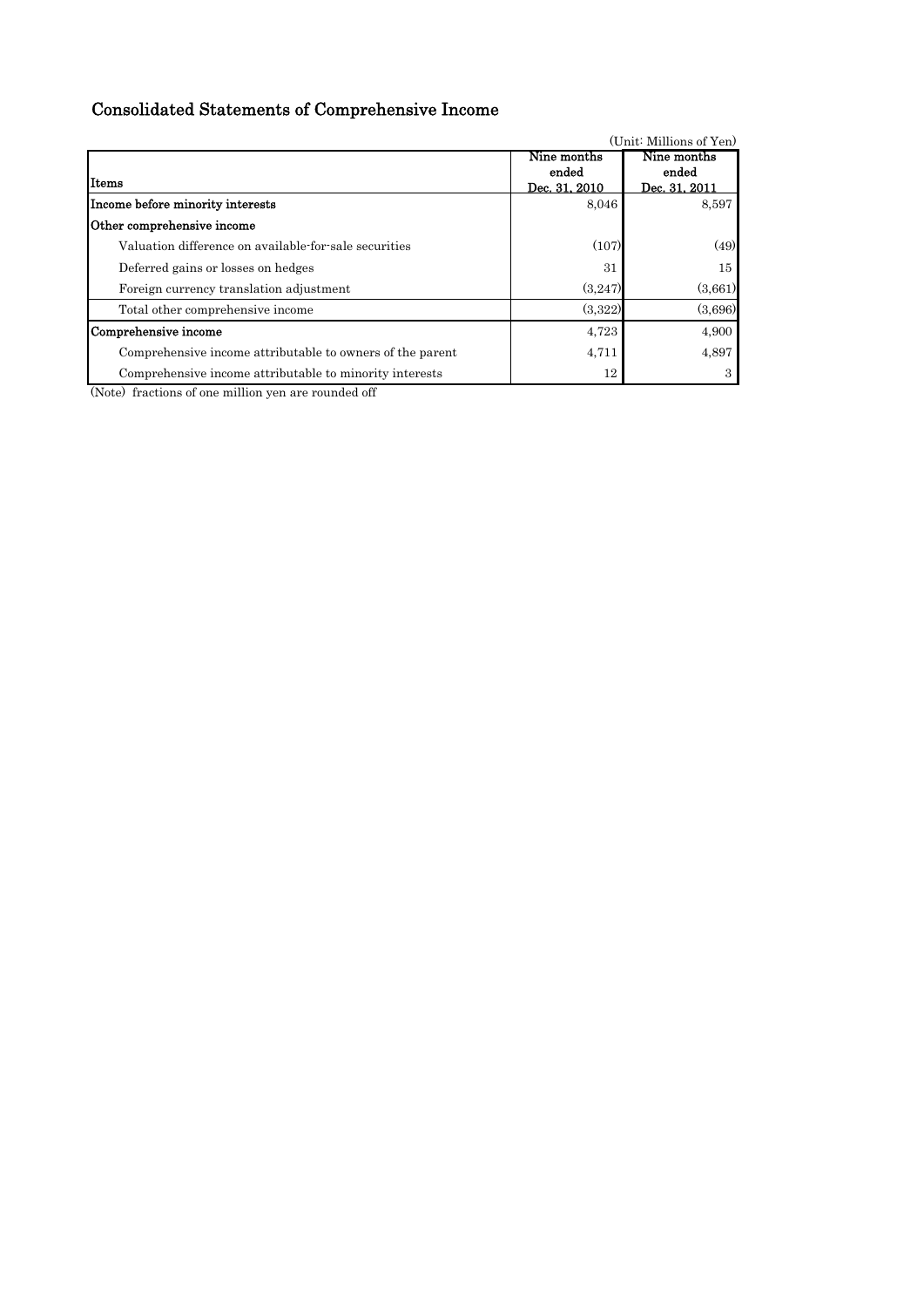# Consolidated Statements of Comprehensive Income

|                                                           |               | (Unit: Millions of Yen) |
|-----------------------------------------------------------|---------------|-------------------------|
|                                                           | Nine months   | Nine months             |
|                                                           | ended         | ended                   |
| <b>Items</b>                                              | Dec. 31, 2010 | Dec. 31, 2011           |
| Income before minority interests                          | 8,046         | 8,597                   |
| Other comprehensive income                                |               |                         |
| Valuation difference on available-for-sale securities     | (107)         | (49)                    |
| Deferred gains or losses on hedges                        | 31            | 15                      |
| Foreign currency translation adjustment                   | (3,247)       | (3,661)                 |
| Total other comprehensive income                          | (3,322)       | (3,696)                 |
| Comprehensive income                                      | 4,723         | 4,900                   |
| Comprehensive income attributable to owners of the parent | 4,711         | 4,897                   |
| Comprehensive income attributable to minority interests   | 12            | 3                       |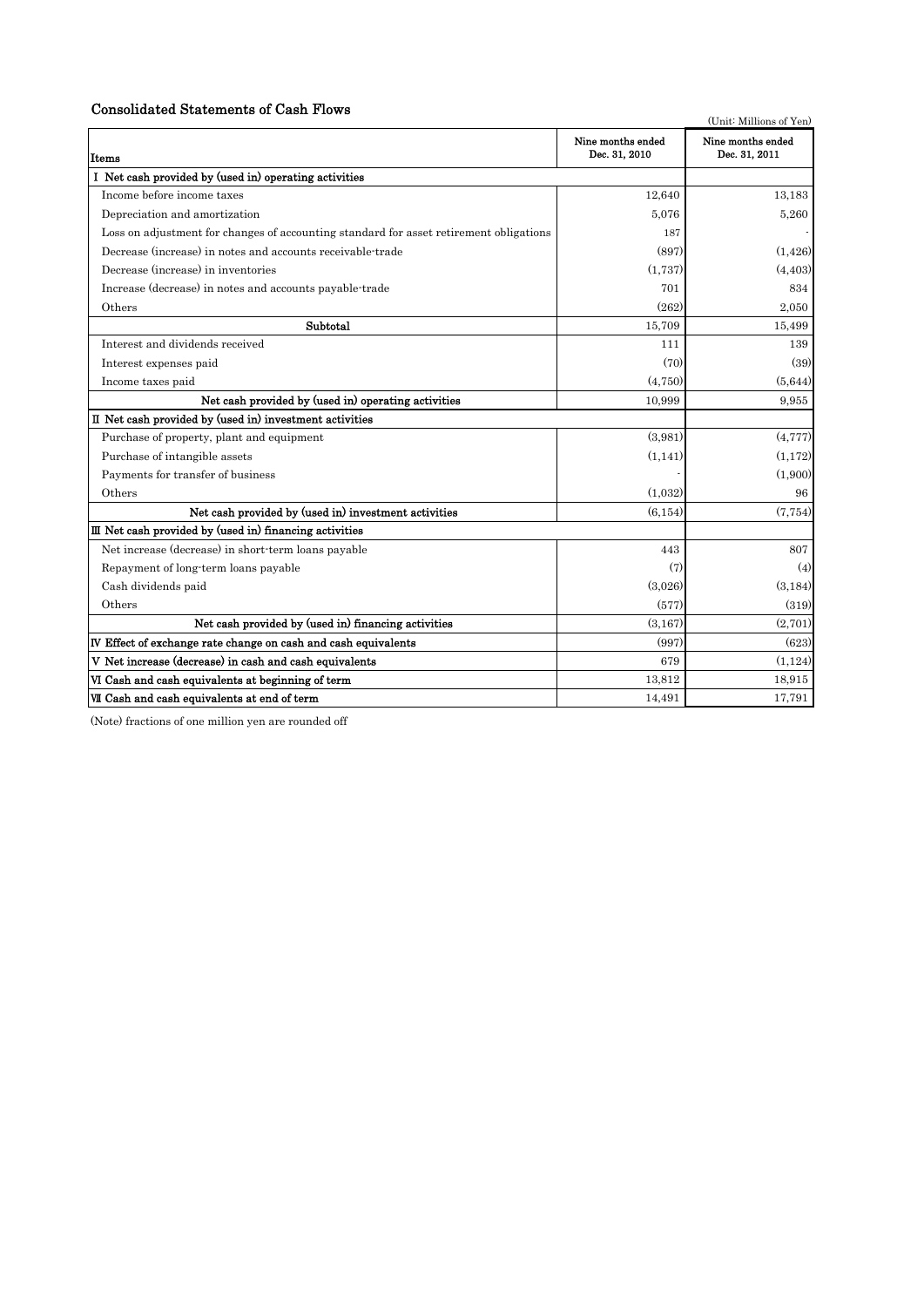# Consolidated Statements of Cash Flows

| Consonuated Statements of Cash Flows                                                   |                                    | (Unit: Millions of Yen)            |
|----------------------------------------------------------------------------------------|------------------------------------|------------------------------------|
| Items                                                                                  | Nine months ended<br>Dec. 31, 2010 | Nine months ended<br>Dec. 31, 2011 |
| I Net cash provided by (used in) operating activities                                  |                                    |                                    |
| Income before income taxes                                                             | 12,640                             | 13,183                             |
| Depreciation and amortization                                                          | 5.076                              | 5,260                              |
| Loss on adjustment for changes of accounting standard for asset retirement obligations | 187                                |                                    |
| Decrease (increase) in notes and accounts receivable-trade                             | (897)                              | (1,426)                            |
| Decrease (increase) in inventories                                                     | (1,737)                            | (4, 403)                           |
| Increase (decrease) in notes and accounts payable-trade                                | 701                                | 834                                |
| Others                                                                                 | (262)                              | 2.050                              |
| Subtotal                                                                               | 15,709                             | 15,499                             |
| Interest and dividends received                                                        | 111                                | 139                                |
| Interest expenses paid                                                                 | (70)                               | (39)                               |
| Income taxes paid                                                                      | (4,750)                            | (5,644)                            |
| Net cash provided by (used in) operating activities                                    | 10,999                             | 9.955                              |
| II Net cash provided by (used in) investment activities                                |                                    |                                    |
| Purchase of property, plant and equipment                                              | (3,981)                            | (4,777)                            |
| Purchase of intangible assets                                                          | (1,141)                            | (1, 172)                           |
| Payments for transfer of business                                                      |                                    | (1,900)                            |
| Others                                                                                 | (1,032)                            | 96                                 |
| Net cash provided by (used in) investment activities                                   | (6, 154)                           | (7,754)                            |
| $III$ Net cash provided by (used in) financing activities                              |                                    |                                    |
| Net increase (decrease) in short-term loans payable                                    | 443                                | 807                                |
| Repayment of long-term loans payable                                                   | (7)                                | (4)                                |
| Cash dividends paid                                                                    | (3,026)                            | (3, 184)                           |
| Others                                                                                 | (577)                              | (319)                              |
| Net cash provided by (used in) financing activities                                    | (3.167)                            | (2.701)                            |
| IV Effect of exchange rate change on cash and cash equivalents                         | (997)                              | (623)                              |
| V Net increase (decrease) in cash and cash equivalents                                 | 679                                | (1.124)                            |
| VI Cash and cash equivalents at beginning of term                                      | 13,812                             | 18,915                             |
| VII Cash and cash equivalents at end of term                                           | 14,491                             | 17,791                             |